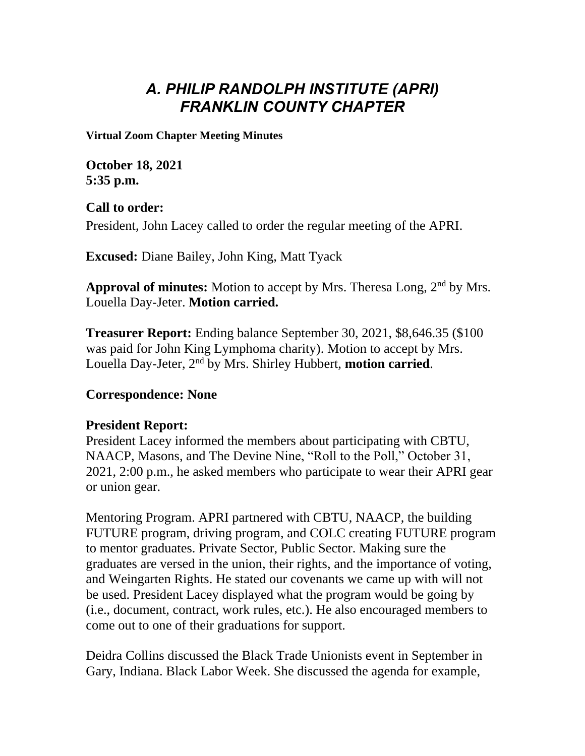# *A. PHILIP RANDOLPH INSTITUTE (APRI) FRANKLIN COUNTY CHAPTER*

**Virtual Zoom Chapter Meeting Minutes**

**October 18, 2021 5:35 p.m.**

**Call to order:** President, John Lacey called to order the regular meeting of the APRI.

**Excused:** Diane Bailey, John King, Matt Tyack

**Approval of minutes:** Motion to accept by Mrs. Theresa Long, 2nd by Mrs. Louella Day-Jeter. **Motion carried.**

**Treasurer Report:** Ending balance September 30, 2021, \$8,646.35 (\$100 was paid for John King Lymphoma charity). Motion to accept by Mrs. Louella Day-Jeter, 2nd by Mrs. Shirley Hubbert, **motion carried**.

### **Correspondence: None**

### **President Report:**

President Lacey informed the members about participating with CBTU, NAACP, Masons, and The Devine Nine, "Roll to the Poll," October 31, 2021, 2:00 p.m., he asked members who participate to wear their APRI gear or union gear.

Mentoring Program. APRI partnered with CBTU, NAACP, the building FUTURE program, driving program, and COLC creating FUTURE program to mentor graduates. Private Sector, Public Sector. Making sure the graduates are versed in the union, their rights, and the importance of voting, and Weingarten Rights. He stated our covenants we came up with will not be used. President Lacey displayed what the program would be going by (i.e., document, contract, work rules, etc.). He also encouraged members to come out to one of their graduations for support.

Deidra Collins discussed the Black Trade Unionists event in September in Gary, Indiana. Black Labor Week. She discussed the agenda for example,